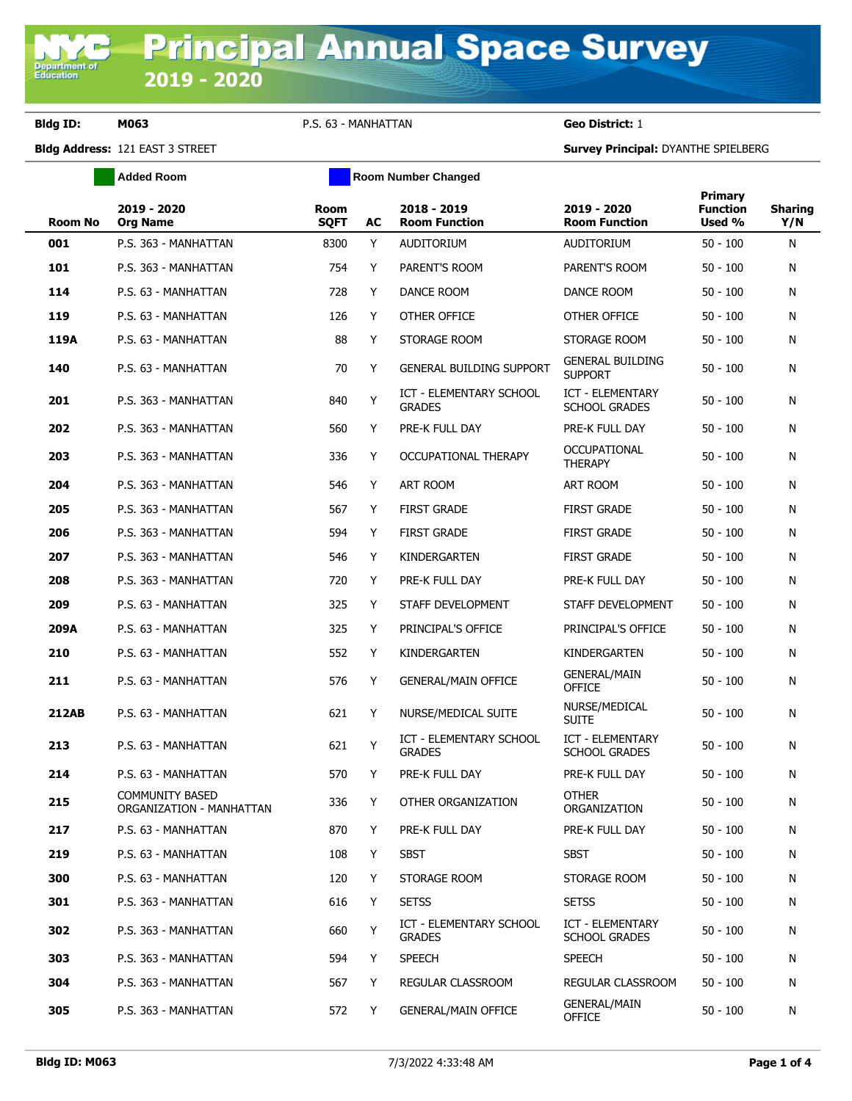**Department of**<br>Education

**Bldg ID: M063** P.S. 63 - MANHATTAN **Geo District:** 1

**Bldg Address:** 121 EAST 3 STREET **Survey Principal:** DYANTHE SPIELBERG

|                | <b>Added Room</b>                           |                            | <b>Room Number Changed</b> |                                                 |                                                 |                                      |                       |
|----------------|---------------------------------------------|----------------------------|----------------------------|-------------------------------------------------|-------------------------------------------------|--------------------------------------|-----------------------|
| <b>Room No</b> | 2019 - 2020<br><b>Org Name</b>              | <b>Room</b><br><b>SQFT</b> | AC                         | 2018 - 2019<br><b>Room Function</b>             | 2019 - 2020<br><b>Room Function</b>             | Primary<br><b>Function</b><br>Used % | <b>Sharing</b><br>Y/N |
| 001            | P.S. 363 - MANHATTAN                        | 8300                       | Y                          | AUDITORIUM                                      | <b>AUDITORIUM</b>                               | $50 - 100$                           | N                     |
| 101            | P.S. 363 - MANHATTAN                        | 754                        | Y                          | PARENT'S ROOM                                   | PARENT'S ROOM                                   | $50 - 100$                           | N                     |
| 114            | P.S. 63 - MANHATTAN                         | 728                        | Y                          | DANCE ROOM                                      | DANCE ROOM                                      | $50 - 100$                           | N                     |
| 119            | P.S. 63 - MANHATTAN                         | 126                        | Y                          | OTHER OFFICE                                    | OTHER OFFICE                                    | $50 - 100$                           | N                     |
| 119A           | P.S. 63 - MANHATTAN                         | 88                         | Y                          | STORAGE ROOM                                    | STORAGE ROOM                                    | $50 - 100$                           | N                     |
| 140            | P.S. 63 - MANHATTAN                         | 70                         | Y                          | <b>GENERAL BUILDING SUPPORT</b>                 | <b>GENERAL BUILDING</b><br><b>SUPPORT</b>       | $50 - 100$                           | N                     |
| 201            | P.S. 363 - MANHATTAN                        | 840                        | Y                          | ICT - ELEMENTARY SCHOOL<br><b>GRADES</b>        | ICT - ELEMENTARY<br><b>SCHOOL GRADES</b>        | $50 - 100$                           | N                     |
| 202            | P.S. 363 - MANHATTAN                        | 560                        | Y                          | PRE-K FULL DAY                                  | PRE-K FULL DAY                                  | $50 - 100$                           | N                     |
| 203            | P.S. 363 - MANHATTAN                        | 336                        | Y                          | OCCUPATIONAL THERAPY                            | <b>OCCUPATIONAL</b><br><b>THERAPY</b>           | $50 - 100$                           | N                     |
| 204            | P.S. 363 - MANHATTAN                        | 546                        | Y                          | ART ROOM                                        | <b>ART ROOM</b>                                 | $50 - 100$                           | N                     |
| 205            | P.S. 363 - MANHATTAN                        | 567                        | Y                          | <b>FIRST GRADE</b>                              | <b>FIRST GRADE</b>                              | $50 - 100$                           | N                     |
| 206            | P.S. 363 - MANHATTAN                        | 594                        | Y                          | <b>FIRST GRADE</b>                              | <b>FIRST GRADE</b>                              | $50 - 100$                           | N                     |
| 207            | P.S. 363 - MANHATTAN                        | 546                        | Y                          | KINDERGARTEN                                    | <b>FIRST GRADE</b>                              | $50 - 100$                           | N                     |
| 208            | P.S. 363 - MANHATTAN                        | 720                        | Y                          | PRE-K FULL DAY                                  | PRE-K FULL DAY                                  | $50 - 100$                           | N                     |
| 209            | P.S. 63 - MANHATTAN                         | 325                        | Y                          | STAFF DEVELOPMENT                               | STAFF DEVELOPMENT                               | $50 - 100$                           | N                     |
| 209A           | P.S. 63 - MANHATTAN                         | 325                        | Y                          | PRINCIPAL'S OFFICE                              | PRINCIPAL'S OFFICE                              | $50 - 100$                           | N                     |
| 210            | P.S. 63 - MANHATTAN                         | 552                        | Y                          | KINDERGARTEN                                    | KINDERGARTEN                                    | $50 - 100$                           | N                     |
| 211            | P.S. 63 - MANHATTAN                         | 576                        | Y                          | <b>GENERAL/MAIN OFFICE</b>                      | <b>GENERAL/MAIN</b><br><b>OFFICE</b>            | $50 - 100$                           | N                     |
| <b>212AB</b>   | P.S. 63 - MANHATTAN                         | 621                        | Y                          | NURSE/MEDICAL SUITE                             | NURSE/MEDICAL<br><b>SUITE</b>                   | $50 - 100$                           | N                     |
| 213            | P.S. 63 - MANHATTAN                         | 621                        | Y                          | ICT - ELEMENTARY SCHOOL<br><b>GRADES</b>        | <b>ICT - ELEMENTARY</b><br><b>SCHOOL GRADES</b> | $50 - 100$                           | N                     |
| 214            | P.S. 63 - MANHATTAN                         | 570                        | Y                          | PRE-K FULL DAY                                  | PRE-K FULL DAY                                  | $50 - 100$                           | N                     |
| 215            | COMMUNITY BASED<br>ORGANIZATION - MANHATTAN | 336                        | Y                          | OTHER ORGANIZATION                              | OTHER<br>ORGANIZATION                           | $50 - 100$                           | N                     |
| 217            | P.S. 63 - MANHATTAN                         | 870                        | Y                          | PRE-K FULL DAY                                  | PRE-K FULL DAY                                  | $50 - 100$                           | N                     |
| 219            | P.S. 63 - MANHATTAN                         | 108                        | Y                          | <b>SBST</b>                                     | <b>SBST</b>                                     | $50 - 100$                           | N                     |
| 300            | P.S. 63 - MANHATTAN                         | 120                        | Y                          | STORAGE ROOM                                    | STORAGE ROOM                                    | $50 - 100$                           | N                     |
| 301            | P.S. 363 - MANHATTAN                        | 616                        | Y                          | <b>SETSS</b>                                    | <b>SETSS</b>                                    | $50 - 100$                           | N                     |
| 302            | P.S. 363 - MANHATTAN                        | 660                        | Y                          | <b>ICT - ELEMENTARY SCHOOL</b><br><b>GRADES</b> | ICT - ELEMENTARY<br><b>SCHOOL GRADES</b>        | $50 - 100$                           | N                     |
| 303            | P.S. 363 - MANHATTAN                        | 594                        | Y                          | <b>SPEECH</b>                                   | <b>SPEECH</b>                                   | $50 - 100$                           | N                     |
| 304            | P.S. 363 - MANHATTAN                        | 567                        | Y                          | REGULAR CLASSROOM                               | REGULAR CLASSROOM                               | $50 - 100$                           | N                     |
| 305            | P.S. 363 - MANHATTAN                        | 572                        | Y                          | <b>GENERAL/MAIN OFFICE</b>                      | <b>GENERAL/MAIN</b><br><b>OFFICE</b>            | $50 - 100$                           | N                     |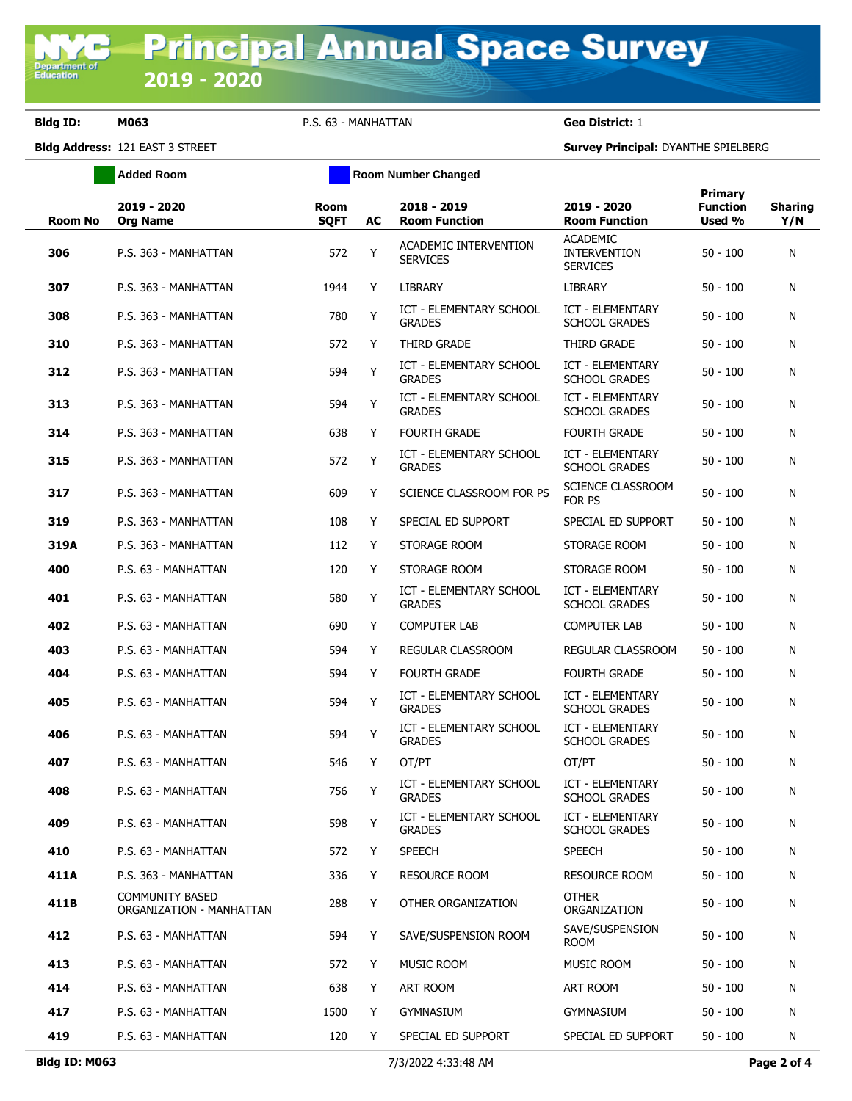**Bldg ID: M063** P.S. 63 - MANHATTAN **Geo District:** 1

**Added Room Room Room Number Changed** 

**Bldg Address:** 121 EAST 3 STREET **Survey Principal:** DYANTHE SPIELBERG

| <b>Room No</b> | 2019 - 2020<br><b>Org Name</b>                     | <b>Room</b><br><b>SOFT</b> | AC | 2018 - 2019<br><b>Room Function</b>             | 2019 - 2020<br><b>Room Function</b>                       | Primary<br><b>Function</b><br>Used % | <b>Sharing</b><br>Y/N |
|----------------|----------------------------------------------------|----------------------------|----|-------------------------------------------------|-----------------------------------------------------------|--------------------------------------|-----------------------|
| 306            | P.S. 363 - MANHATTAN                               | 572                        | Y  | ACADEMIC INTERVENTION<br><b>SERVICES</b>        | <b>ACADEMIC</b><br><b>INTERVENTION</b><br><b>SERVICES</b> | $50 - 100$                           | N                     |
| 307            | P.S. 363 - MANHATTAN                               | 1944                       | Y  | <b>LIBRARY</b>                                  | <b>LIBRARY</b>                                            | $50 - 100$                           | N                     |
| 308            | P.S. 363 - MANHATTAN                               | 780                        | Υ  | ICT - ELEMENTARY SCHOOL<br><b>GRADES</b>        | <b>ICT - ELEMENTARY</b><br><b>SCHOOL GRADES</b>           | $50 - 100$                           | N                     |
| 310            | P.S. 363 - MANHATTAN                               | 572                        | Y  | THIRD GRADE                                     | THIRD GRADE                                               | $50 - 100$                           | N                     |
| 312            | P.S. 363 - MANHATTAN                               | 594                        | Y  | ICT - ELEMENTARY SCHOOL<br><b>GRADES</b>        | <b>ICT - ELEMENTARY</b><br><b>SCHOOL GRADES</b>           | $50 - 100$                           | N                     |
| 313            | P.S. 363 - MANHATTAN                               | 594                        | Y  | ICT - ELEMENTARY SCHOOL<br><b>GRADES</b>        | <b>ICT - ELEMENTARY</b><br><b>SCHOOL GRADES</b>           | $50 - 100$                           | N                     |
| 314            | P.S. 363 - MANHATTAN                               | 638                        | Y  | FOURTH GRADE                                    | <b>FOURTH GRADE</b>                                       | $50 - 100$                           | N                     |
| 315            | P.S. 363 - MANHATTAN                               | 572                        | Y  | ICT - ELEMENTARY SCHOOL<br><b>GRADES</b>        | <b>ICT - ELEMENTARY</b><br><b>SCHOOL GRADES</b>           | $50 - 100$                           | N                     |
| 317            | P.S. 363 - MANHATTAN                               | 609                        | Y  | SCIENCE CLASSROOM FOR PS                        | <b>SCIENCE CLASSROOM</b><br>FOR PS                        | $50 - 100$                           | N                     |
| 319            | P.S. 363 - MANHATTAN                               | 108                        | Y  | SPECIAL ED SUPPORT                              | SPECIAL ED SUPPORT                                        | $50 - 100$                           | N                     |
| 319A           | P.S. 363 - MANHATTAN                               | 112                        | Y  | STORAGE ROOM                                    | STORAGE ROOM                                              | $50 - 100$                           | N                     |
| 400            | P.S. 63 - MANHATTAN                                | 120                        | Y  | STORAGE ROOM                                    | STORAGE ROOM                                              | $50 - 100$                           | N                     |
| 401            | P.S. 63 - MANHATTAN                                | 580                        | Y  | <b>ICT - ELEMENTARY SCHOOL</b><br><b>GRADES</b> | <b>ICT - ELEMENTARY</b><br><b>SCHOOL GRADES</b>           | $50 - 100$                           | N                     |
| 402            | P.S. 63 - MANHATTAN                                | 690                        | Y  | <b>COMPUTER LAB</b>                             | <b>COMPUTER LAB</b>                                       | $50 - 100$                           | N                     |
| 403            | P.S. 63 - MANHATTAN                                | 594                        | Y  | REGULAR CLASSROOM                               | REGULAR CLASSROOM                                         | $50 - 100$                           | N                     |
| 404            | P.S. 63 - MANHATTAN                                | 594                        | Y  | <b>FOURTH GRADE</b>                             | <b>FOURTH GRADE</b>                                       | $50 - 100$                           | N                     |
| 405            | P.S. 63 - MANHATTAN                                | 594                        | Y  | ICT - ELEMENTARY SCHOOL<br><b>GRADES</b>        | <b>ICT - ELEMENTARY</b><br><b>SCHOOL GRADES</b>           | $50 - 100$                           | N                     |
| 406            | P.S. 63 - MANHATTAN                                | 594                        | Y  | <b>ICT - ELEMENTARY SCHOOL</b><br><b>GRADES</b> | <b>ICT - ELEMENTARY</b><br><b>SCHOOL GRADES</b>           | $50 - 100$                           | N                     |
| 407            | P.S. 63 - MANHATTAN                                | 546                        | Y  | OT/PT                                           | OT/PT                                                     | $50 - 100$                           | N                     |
| 408            | P.S. 63 - MANHATTAN                                | 756                        | Y  | <b>ICT - ELEMENTARY SCHOOL</b><br><b>GRADES</b> | <b>ICT - ELEMENTARY</b><br><b>SCHOOL GRADES</b>           | $50 - 100$                           | N                     |
| 409            | P.S. 63 - MANHATTAN                                | 598                        | Υ  | <b>ICT - ELEMENTARY SCHOOL</b><br><b>GRADES</b> | <b>ICT - ELEMENTARY</b><br><b>SCHOOL GRADES</b>           | $50 - 100$                           | N                     |
| 410            | P.S. 63 - MANHATTAN                                | 572                        | Y  | <b>SPEECH</b>                                   | SPEECH                                                    | $50 - 100$                           | N                     |
| 411A           | P.S. 363 - MANHATTAN                               | 336                        | Y  | <b>RESOURCE ROOM</b>                            | <b>RESOURCE ROOM</b>                                      | $50 - 100$                           | N                     |
| 411B           | <b>COMMUNITY BASED</b><br>ORGANIZATION - MANHATTAN | 288                        | Y  | OTHER ORGANIZATION                              | <b>OTHER</b><br>ORGANIZATION                              | $50 - 100$                           | N                     |
| 412            | P.S. 63 - MANHATTAN                                | 594                        | Y  | SAVE/SUSPENSION ROOM                            | SAVE/SUSPENSION<br>ROOM                                   | $50 - 100$                           | N                     |
| 413            | P.S. 63 - MANHATTAN                                | 572                        | Y  | MUSIC ROOM                                      | MUSIC ROOM                                                | $50 - 100$                           | N                     |
| 414            | P.S. 63 - MANHATTAN                                | 638                        | Y  | ART ROOM                                        | ART ROOM                                                  | $50 - 100$                           | N                     |
| 417            | P.S. 63 - MANHATTAN                                | 1500                       | Y  | <b>GYMNASIUM</b>                                | <b>GYMNASIUM</b>                                          | 50 - 100                             | N                     |
| 419            | P.S. 63 - MANHATTAN                                | 120                        | Y  | SPECIAL ED SUPPORT                              | SPECIAL ED SUPPORT                                        | $50 - 100$                           | N                     |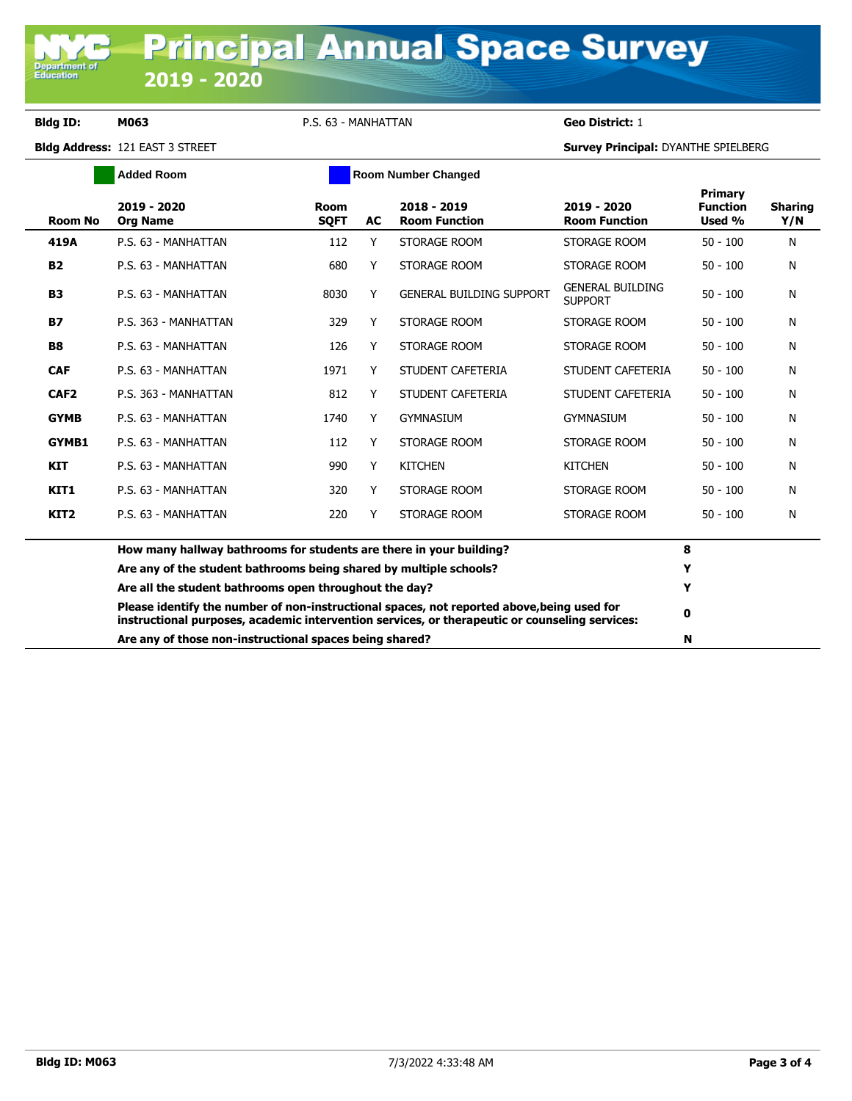**Department of**<br>Education

**Bldg ID: M063** P.S. 63 - MANHATTAN **Geo District:** 1

**Bldg Address:** 121 EAST 3 STREET **Survey Principal:** DYANTHE SPIELBERG

| <b>Added Room</b> |                                                                                                                                                                                              |                                                                    |           | <b>Room Number Changed</b>          |                                           |                                      |                       |  |
|-------------------|----------------------------------------------------------------------------------------------------------------------------------------------------------------------------------------------|--------------------------------------------------------------------|-----------|-------------------------------------|-------------------------------------------|--------------------------------------|-----------------------|--|
| <b>Room No</b>    | 2019 - 2020<br><b>Org Name</b>                                                                                                                                                               | Room<br><b>SOFT</b>                                                | <b>AC</b> | 2018 - 2019<br><b>Room Function</b> | 2019 - 2020<br><b>Room Function</b>       | Primary<br><b>Function</b><br>Used % | <b>Sharing</b><br>Y/N |  |
| 419A              | P.S. 63 - MANHATTAN                                                                                                                                                                          | 112                                                                | Y         | STORAGE ROOM                        | STORAGE ROOM                              | $50 - 100$                           | N                     |  |
| <b>B2</b>         | P.S. 63 - MANHATTAN                                                                                                                                                                          | 680                                                                | Y         | STORAGE ROOM                        | STORAGE ROOM                              | $50 - 100$                           | N                     |  |
| <b>B3</b>         | P.S. 63 - MANHATTAN                                                                                                                                                                          | 8030                                                               | Y         | <b>GENERAL BUILDING SUPPORT</b>     | <b>GENERAL BUILDING</b><br><b>SUPPORT</b> | $50 - 100$                           | N                     |  |
| <b>B7</b>         | P.S. 363 - MANHATTAN                                                                                                                                                                         | 329                                                                | Y         | STORAGE ROOM                        | STORAGE ROOM                              | $50 - 100$                           | N                     |  |
| <b>B8</b>         | P.S. 63 - MANHATTAN                                                                                                                                                                          | 126                                                                | Y         | STORAGE ROOM                        | STORAGE ROOM                              | $50 - 100$                           | N                     |  |
| <b>CAF</b>        | P.S. 63 - MANHATTAN                                                                                                                                                                          | 1971                                                               | Y         | STUDENT CAFETERIA                   | STUDENT CAFETERIA                         | $50 - 100$                           | N                     |  |
| CAF <sub>2</sub>  | P.S. 363 - MANHATTAN                                                                                                                                                                         | 812                                                                | Y         | STUDENT CAFETERIA                   | STUDENT CAFETERIA                         | $50 - 100$                           | N                     |  |
| <b>GYMB</b>       | P.S. 63 - MANHATTAN                                                                                                                                                                          | 1740                                                               | Y         | <b>GYMNASIUM</b>                    | <b>GYMNASIUM</b>                          | $50 - 100$                           | N                     |  |
| <b>GYMB1</b>      | P.S. 63 - MANHATTAN                                                                                                                                                                          | 112                                                                | Y         | STORAGE ROOM                        | STORAGE ROOM                              | $50 - 100$                           | N                     |  |
| <b>KIT</b>        | P.S. 63 - MANHATTAN                                                                                                                                                                          | 990                                                                | Y         | <b>KITCHEN</b>                      | <b>KITCHEN</b>                            | $50 - 100$                           | N                     |  |
| KIT1              | P.S. 63 - MANHATTAN                                                                                                                                                                          | 320                                                                | Y         | STORAGE ROOM                        | STORAGE ROOM                              | $50 - 100$                           | N                     |  |
| KIT <sub>2</sub>  | P.S. 63 - MANHATTAN                                                                                                                                                                          | 220                                                                | Y         | STORAGE ROOM                        | STORAGE ROOM                              | $50 - 100$                           | N                     |  |
|                   | How many hallway bathrooms for students are there in your building?                                                                                                                          | 8                                                                  |           |                                     |                                           |                                      |                       |  |
|                   |                                                                                                                                                                                              | Are any of the student bathrooms being shared by multiple schools? |           |                                     |                                           | Y                                    |                       |  |
|                   | Are all the student bathrooms open throughout the day?                                                                                                                                       |                                                                    |           |                                     |                                           | Y                                    |                       |  |
|                   | Please identify the number of non-instructional spaces, not reported above, being used for<br>instructional purposes, academic intervention services, or therapeutic or counseling services: |                                                                    |           |                                     |                                           | 0                                    |                       |  |
|                   | Are any of those non-instructional spaces being shared?                                                                                                                                      |                                                                    |           |                                     |                                           | N                                    |                       |  |